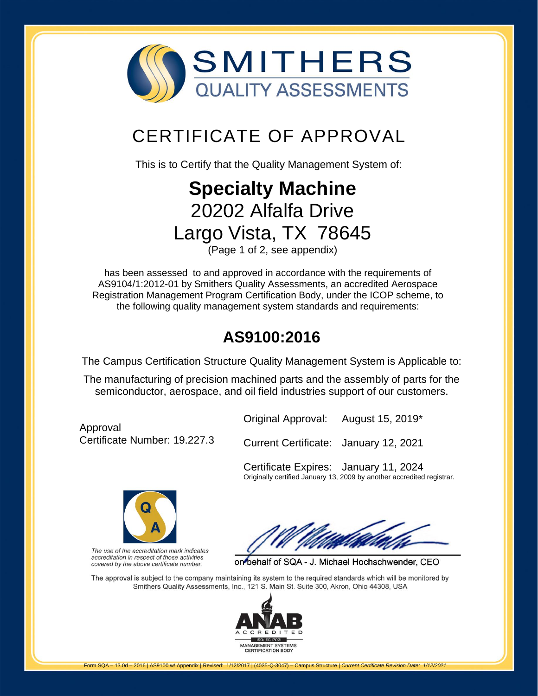

# [CERTIFICATE OF APPROVAL](http://www.smithersregistrar.com/)

This is to Certify that the Quality Management System of:

# **Specialty Machine** 20202 Alfalfa Drive

Largo Vista, TX 78645

(Page 1 of 2, see appendix)

has been assessed to and approved in accordance with the requirements of AS9104/1:2012-01 by Smithers Quality Assessments, an accredited Aerospace Registration Management Program Certification Body, under the ICOP scheme, to the following quality management system standards and requirements:

## **AS9100:2016**

The Campus Certification Structure Quality Management System is Applicable to:

The manufacturing of precision machined parts and the assembly of parts for the semiconductor, aerospace, and oil field industries support of our customers.

Approval Certificate Number: 19.227.3 Original Approval: August 15, 2019\*

Current Certificate: January 12, 2021

Certificate Expires: January 11, 2024 Originally certified January 13, 2009 by another accredited registrar.



The use of the accreditation mark indicates accreditation in respect of those activities covered by the above certificate number.

on behalf of SQA - J. Michael Hochschwender, CEO

The approval is subject to the company maintaining its system to the required standards which will be monitored by Smithers Quality Assessments, Inc., 121 S. Main St. Suite 300, Akron, Ohio 44308, USA

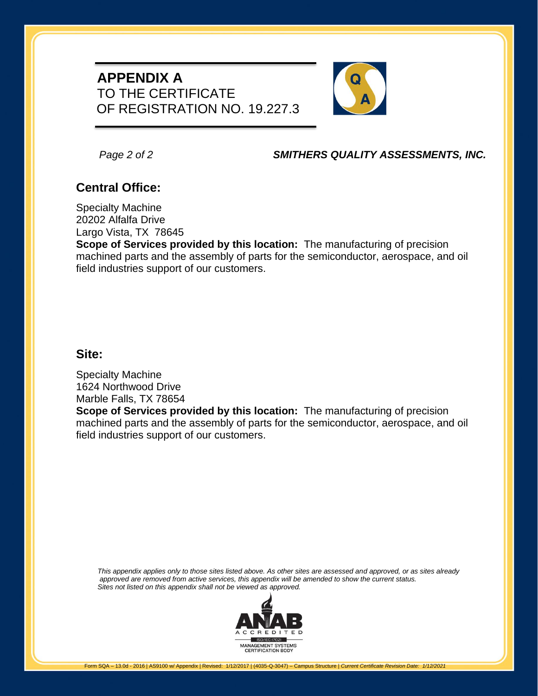### **APPENDIX A** TO THE CERTIFICATE OF REGISTRATION NO. 19.227.3



#### *Page 2 of 2 SMITHERS QUALITY ASSESSMENTS, INC.*

### **Central Office:**

Specialty Machine 20202 Alfalfa Drive Largo Vista, TX 78645

**Scope of Services provided by this location:** The manufacturing of precision machined parts and the assembly of parts for the semiconductor, aerospace, and oil field industries support of our customers.

#### **Site:**

Specialty Machine 1624 Northwood Drive Marble Falls, TX 78654

**Scope of Services provided by this location:** The manufacturing of precision machined parts and the assembly of parts for the semiconductor, aerospace, and oil field industries support of our customers.

 *This appendix applies only to those sites listed above. As other sites are assessed and approved, or as sites already approved are removed from active services, this appendix will be amended to show the current status. Sites not listed on this appendix shall not be viewed as approved.*

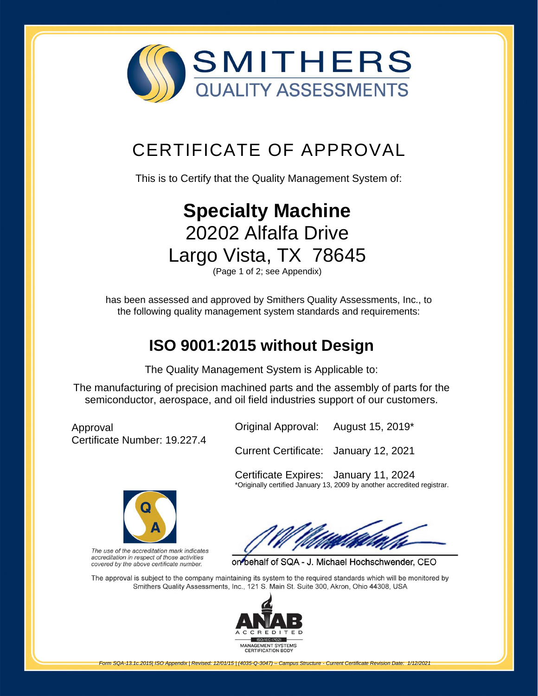

# [CERTIFICATE OF APPROVAL](http://www.smithersregistrar.com/)

This is to Certify that the Quality Management System of:

# **Specialty Machine** 20202 Alfalfa Drive Largo Vista, TX 78645

(Page 1 of 2; see Appendix)

has been assessed and approved by Smithers Quality Assessments, Inc., to the following quality management system standards and requirements:

## **ISO 9001:2015 without Design**

The Quality Management System is Applicable to:

The manufacturing of precision machined parts and the assembly of parts for the semiconductor, aerospace, and oil field industries support of our customers.

Approval Certificate Number: 19.227.4 Original Approval: August 15, 2019\*

Current Certificate: January 12, 2021

Certificate Expires: January 11, 2024 \*Originally certified January 13, 2009 by another accredited registrar.



The use of the accreditation mark indicates accreditation in respect of those activities covered by the above certificate number.

on behalf of SQA - J. Michael Hochschwender, CEO

The approval is subject to the company maintaining its system to the required standards which will be monitored by Smithers Quality Assessments, Inc., 121 S. Main St. Suite 300, Akron, Ohio 44308, USA